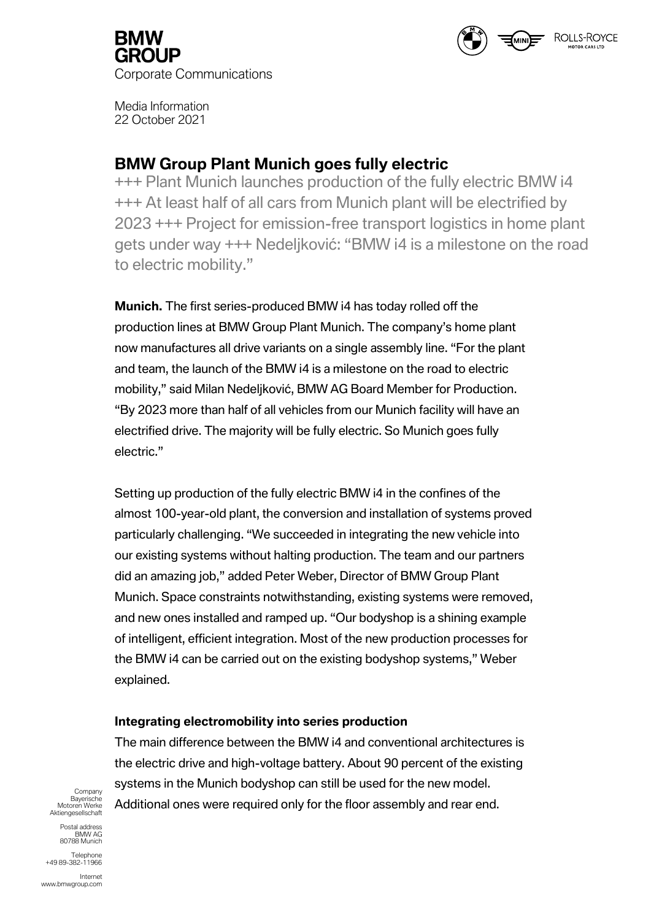

ROLLS-ROYCE

Media Information 22 October 2021

# **BMW Group Plant Munich goes fully electric**

+++ Plant Munich launches production of the fully electric BMW i4 +++ At least half of all cars from Munich plant will be electrified by 2023 +++ Project for emission-free transport logistics in home plant gets under way +++ Nedeljković: "BMW i4 is a milestone on the road to electric mobility."

**Munich.** The first series-produced BMW i4 has today rolled off the production lines at BMW Group Plant Munich. The company's home plant now manufactures all drive variants on a single assembly line. "For the plant and team, the launch of the BMW i4 is a milestone on the road to electric mobility," said Milan Nedeljković, BMW AG Board Member for Production. "By 2023 more than half of all vehicles from our Munich facility will have an electrified drive. The majority will be fully electric. So Munich goes fully electric."

Setting up production of the fully electric BMW i4 in the confines of the almost 100-year-old plant, the conversion and installation of systems proved particularly challenging. "We succeeded in integrating the new vehicle into our existing systems without halting production. The team and our partners did an amazing job," added Peter Weber, Director of BMW Group Plant Munich. Space constraints notwithstanding, existing systems were removed, and new ones installed and ramped up. "Our bodyshop is a shining example of intelligent, efficient integration. Most of the new production processes for the BMW i4 can be carried out on the existing bodyshop systems," Weber explained.

# **Integrating electromobility into series production**

The main difference between the BMW i4 and conventional architectures is the electric drive and high-voltage battery. About 90 percent of the existing systems in the Munich bodyshop can still be used for the new model. Additional ones were required only for the floor assembly and rear end.

Company Bayerische Motoren Werke Aktiengesellschaft

Postal address BMW AG 80788 Munich

Telephone +49 89-382-11966

Internet www.bmwgroup.com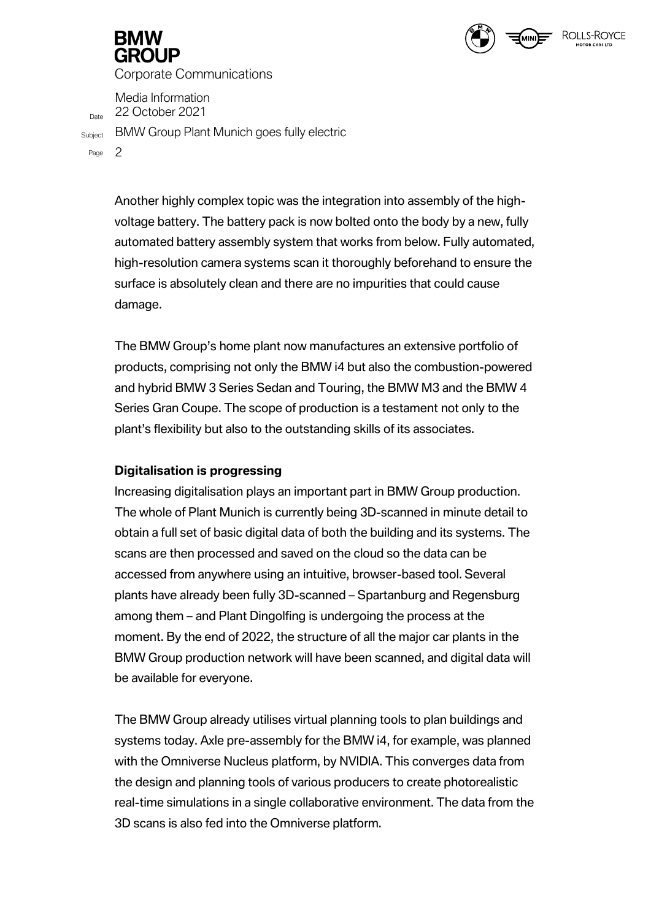Media Information  $D<sub>Date</sub>$  22 October 2021

Subject BMW Group Plant Munich goes fully electric

Page 2

Another highly complex topic was the integration into assembly of the highvoltage battery. The battery pack is now bolted onto the body by a new, fully automated battery assembly system that works from below. Fully automated, high-resolution camera systems scan it thoroughly beforehand to ensure the surface is absolutely clean and there are no impurities that could cause damage.

ROLLS-ROVCE

The BMW Group's home plant now manufactures an extensive portfolio of products, comprising not only the BMW i4 but also the combustion-powered and hybrid BMW 3 Series Sedan and Touring, the BMW M3 and the BMW 4 Series Gran Coupe. The scope of production is a testament not only to the plant's flexibility but also to the outstanding skills of its associates.

## **Digitalisation is progressing**

Increasing digitalisation plays an important part in BMW Group production. The whole of Plant Munich is currently being 3D-scanned in minute detail to obtain a full set of basic digital data of both the building and its systems. The scans are then processed and saved on the cloud so the data can be accessed from anywhere using an intuitive, browser-based tool. Several plants have already been fully 3D-scanned – Spartanburg and Regensburg among them – and Plant Dingolfing is undergoing the process at the moment. By the end of 2022, the structure of all the major car plants in the BMW Group production network will have been scanned, and digital data will be available for everyone.

The BMW Group already utilises virtual planning tools to plan buildings and systems today. Axle pre-assembly for the BMW i4, for example, was planned with the Omniverse Nucleus platform, by NVIDIA. This converges data from the design and planning tools of various producers to create photorealistic real-time simulations in a single collaborative environment. The data from the 3D scans is also fed into the Omniverse platform.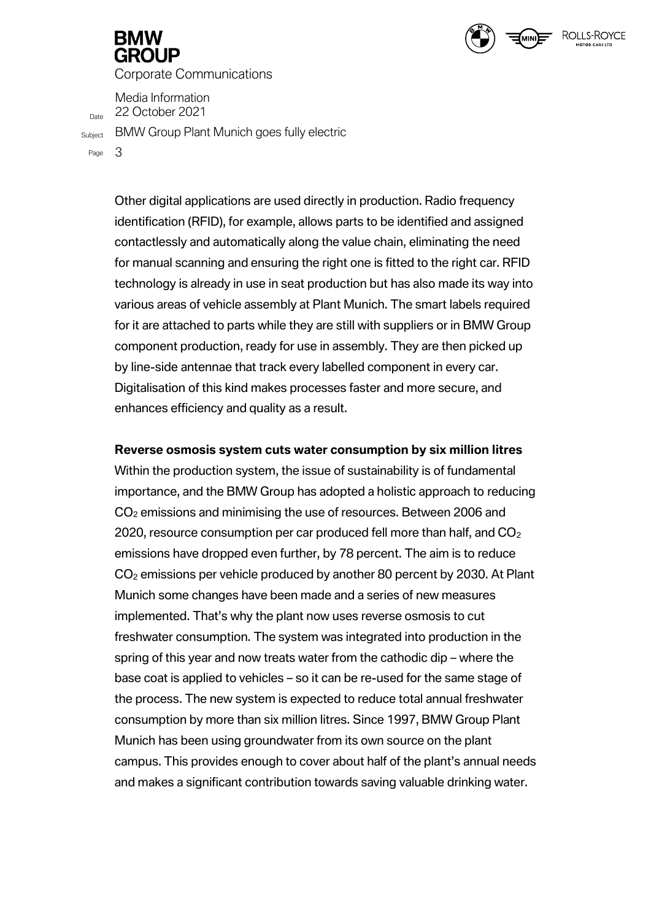Media Information  $D<sub>Date</sub>$  22 October 2021

Subject BMW Group Plant Munich goes fully electric

Page 3

Other digital applications are used directly in production. Radio frequency identification (RFID), for example, allows parts to be identified and assigned contactlessly and automatically along the value chain, eliminating the need for manual scanning and ensuring the right one is fitted to the right car. RFID technology is already in use in seat production but has also made its way into various areas of vehicle assembly at Plant Munich. The smart labels required for it are attached to parts while they are still with suppliers or in BMW Group component production, ready for use in assembly. They are then picked up by line-side antennae that track every labelled component in every car. Digitalisation of this kind makes processes faster and more secure, and enhances efficiency and quality as a result.

ROLLS-ROYCE

### **Reverse osmosis system cuts water consumption by six million litres**

Within the production system, the issue of sustainability is of fundamental importance, and the BMW Group has adopted a holistic approach to reducing CO<sub>2</sub> emissions and minimising the use of resources. Between 2006 and 2020, resource consumption per car produced fell more than half, and  $CO<sub>2</sub>$ emissions have dropped even further, by 78 percent. The aim is to reduce CO<sup>2</sup> emissions per vehicle produced by another 80 percent by 2030. At Plant Munich some changes have been made and a series of new measures implemented. That's why the plant now uses reverse osmosis to cut freshwater consumption. The system was integrated into production in the spring of this year and now treats water from the cathodic dip – where the base coat is applied to vehicles – so it can be re-used for the same stage of the process. The new system is expected to reduce total annual freshwater consumption by more than six million litres. Since 1997, BMW Group Plant Munich has been using groundwater from its own source on the plant campus. This provides enough to cover about half of the plant's annual needs and makes a significant contribution towards saving valuable drinking water.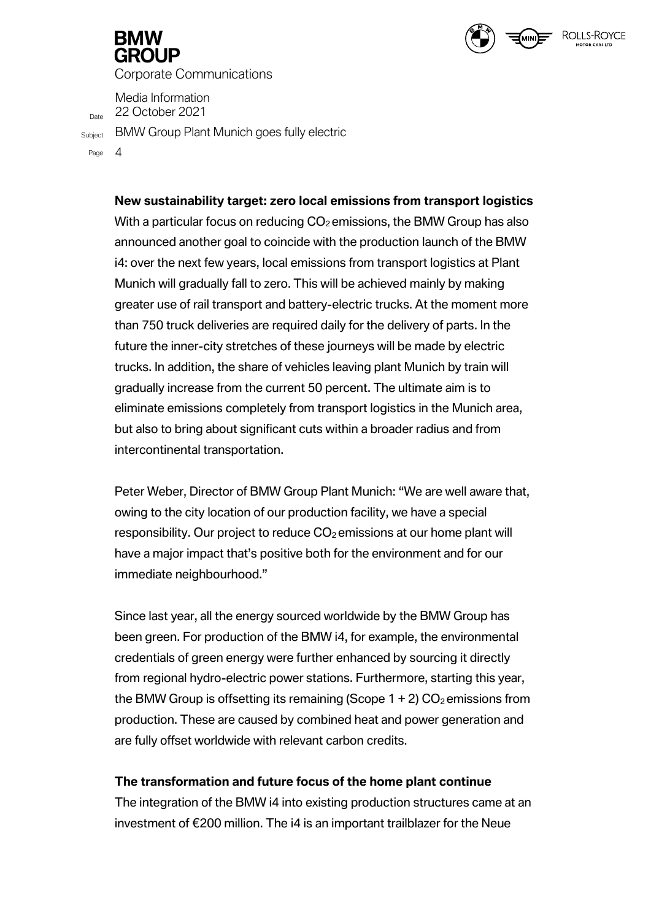

Media Information  $D_{\text{Date}}$  22 October 2021

Subject BMW Group Plant Munich goes fully electric

Page 4

### **New sustainability target: zero local emissions from transport logistics**

ROLLS-ROYCE

With a particular focus on reducing  $CO<sub>2</sub>$  emissions, the BMW Group has also announced another goal to coincide with the production launch of the BMW i4: over the next few years, local emissions from transport logistics at Plant Munich will gradually fall to zero. This will be achieved mainly by making greater use of rail transport and battery-electric trucks. At the moment more than 750 truck deliveries are required daily for the delivery of parts. In the future the inner-city stretches of these journeys will be made by electric trucks. In addition, the share of vehicles leaving plant Munich by train will gradually increase from the current 50 percent. The ultimate aim is to eliminate emissions completely from transport logistics in the Munich area, but also to bring about significant cuts within a broader radius and from intercontinental transportation.

Peter Weber, Director of BMW Group Plant Munich: "We are well aware that, owing to the city location of our production facility, we have a special responsibility. Our project to reduce  $CO<sub>2</sub>$  emissions at our home plant will have a major impact that's positive both for the environment and for our immediate neighbourhood."

Since last year, all the energy sourced worldwide by the BMW Group has been green. For production of the BMW i4, for example, the environmental credentials of green energy were further enhanced by sourcing it directly from regional hydro-electric power stations. Furthermore, starting this year, the BMW Group is offsetting its remaining (Scope  $1 + 2$ ) CO<sub>2</sub> emissions from production. These are caused by combined heat and power generation and are fully offset worldwide with relevant carbon credits.

### **The transformation and future focus of the home plant continue**

The integration of the BMW i4 into existing production structures came at an investment of €200 million. The i4 is an important trailblazer for the Neue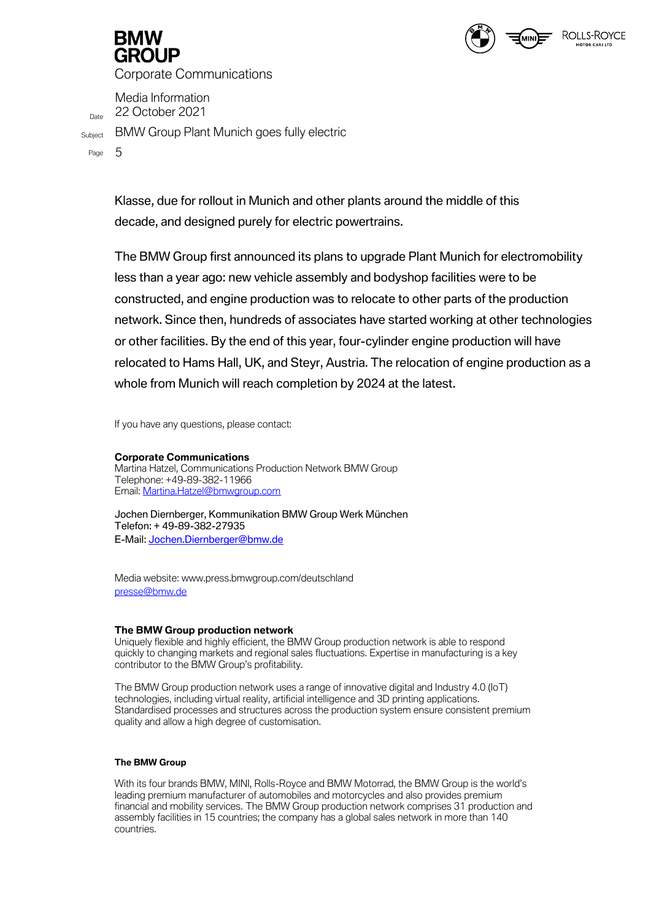

Media Information  $D<sub>Date</sub>$  22 October 2021

Subject BMW Group Plant Munich goes fully electric

Page 5

Klasse, due for rollout in Munich and other plants around the middle of this decade, and designed purely for electric powertrains.

The BMW Group first announced its plans to upgrade Plant Munich for electromobility less than a year ago: new vehicle assembly and bodyshop facilities were to be constructed, and engine production was to relocate to other parts of the production network. Since then, hundreds of associates have started working at other technologies or other facilities. By the end of this year, four-cylinder engine production will have relocated to Hams Hall, UK, and Steyr, Austria. The relocation of engine production as a whole from Munich will reach completion by 2024 at the latest.

If you have any questions, please contact:

#### **Corporate Communications**

Martina Hatzel, Communications Production Network BMW Group Telephone: +49-89-382-11966 Email: [Martina.Hatzel@bmwgroup.com](about:blank)

Jochen Diernberger, Kommunikation BMW Group Werk München Telefon: + 49-89-382-27935 E-Mail: [Jochen.Diernberger@bmw.de](mailto:Jochen.Diernberger@bmw.de)

Media website: www.press.bmwgroup.com/deutschland [presse@bmw.de](about:blank)

#### **The BMW Group production network**

Uniquely flexible and highly efficient, the BMW Group production network is able to respond quickly to changing markets and regional sales fluctuations. Expertise in manufacturing is a key contributor to the BMW Group's profitability.

The BMW Group production network uses a range of innovative digital and Industry 4.0 (IoT) technologies, including virtual reality, artificial intelligence and 3D printing applications. Standardised processes and structures across the production system ensure consistent premium quality and allow a high degree of customisation.

#### **The BMW Group**

With its four brands BMW, MINI, Rolls-Royce and BMW Motorrad, the BMW Group is the world's leading premium manufacturer of automobiles and motorcycles and also provides premium financial and mobility services. The BMW Group production network comprises 31 production and assembly facilities in 15 countries; the company has a global sales network in more than 140 countries.